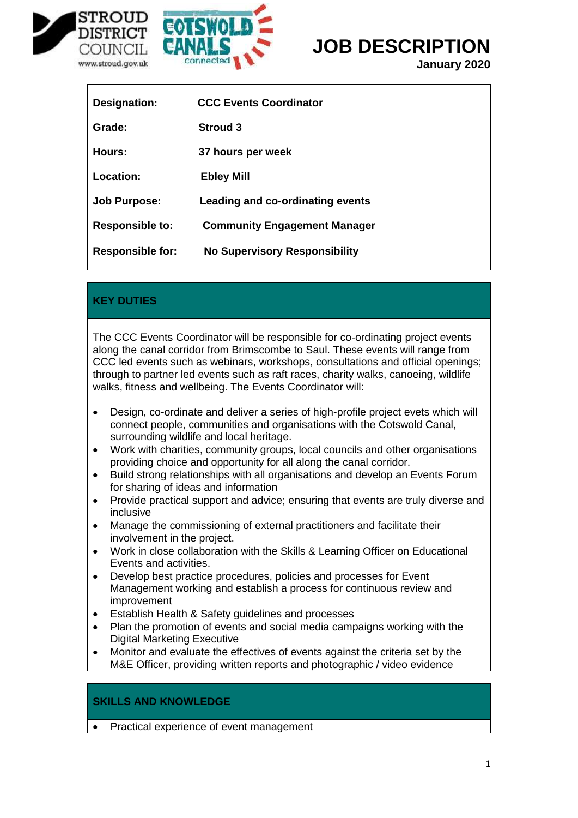

Г



# **JOB DESCRIPTION**

**January 2020**

| <b>Designation:</b>     | <b>CCC Events Coordinator</b>        |
|-------------------------|--------------------------------------|
| Grade:                  | <b>Stroud 3</b>                      |
| Hours:                  | 37 hours per week                    |
| Location:               | <b>Ebley Mill</b>                    |
| <b>Job Purpose:</b>     | Leading and co-ordinating events     |
| <b>Responsible to:</b>  | <b>Community Engagement Manager</b>  |
| <b>Responsible for:</b> | <b>No Supervisory Responsibility</b> |

## **KEY DUTIES**

The CCC Events Coordinator will be responsible for co-ordinating project events along the canal corridor from Brimscombe to Saul. These events will range from CCC led events such as webinars, workshops, consultations and official openings; through to partner led events such as raft races, charity walks, canoeing, wildlife walks, fitness and wellbeing. The Events Coordinator will:

- Design, co-ordinate and deliver a series of high-profile project evets which will connect people, communities and organisations with the Cotswold Canal, surrounding wildlife and local heritage.
- Work with charities, community groups, local councils and other organisations providing choice and opportunity for all along the canal corridor.
- Build strong relationships with all organisations and develop an Events Forum for sharing of ideas and information
- Provide practical support and advice; ensuring that events are truly diverse and inclusive
- Manage the commissioning of external practitioners and facilitate their involvement in the project.
- Work in close collaboration with the Skills & Learning Officer on Educational Events and activities.
- Develop best practice procedures, policies and processes for Event Management working and establish a process for continuous review and improvement
- Establish Health & Safety guidelines and processes
- Plan the promotion of events and social media campaigns working with the Digital Marketing Executive
- Monitor and evaluate the effectives of events against the criteria set by the M&E Officer, providing written reports and photographic / video evidence

## **SKILLS AND KNOWLEDGE**

• Practical experience of event management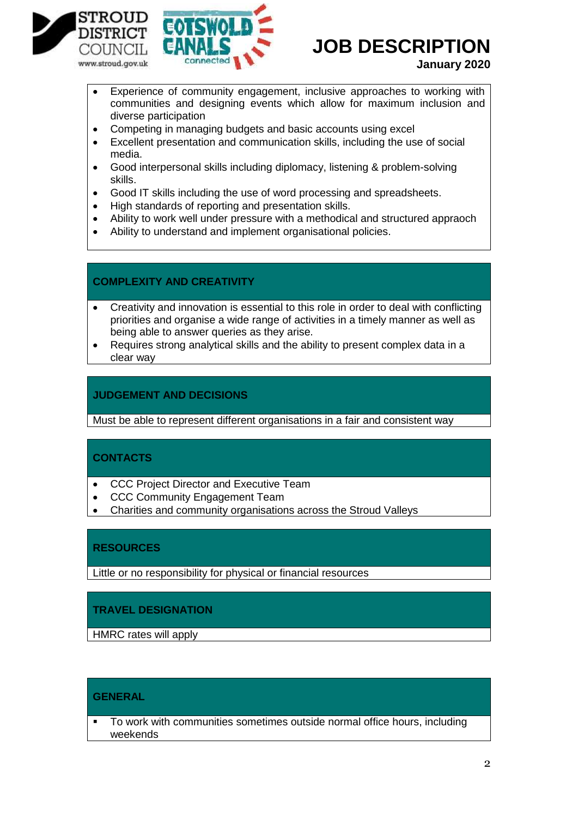



# **JOB DESCRIPTION**

**January 2020**

- Experience of community engagement, inclusive approaches to working with communities and designing events which allow for maximum inclusion and diverse participation
- Competing in managing budgets and basic accounts using excel
- Excellent presentation and communication skills, including the use of social media.
- Good interpersonal skills including diplomacy, listening & problem-solving skills.
- Good IT skills including the use of word processing and spreadsheets.
- High standards of reporting and presentation skills.
- Ability to work well under pressure with a methodical and structured appraoch
- Ability to understand and implement organisational policies.

#### **COMPLEXITY AND CREATIVITY**

- Creativity and innovation is essential to this role in order to deal with conflicting priorities and organise a wide range of activities in a timely manner as well as being able to answer queries as they arise.
- Requires strong analytical skills and the ability to present complex data in a clear way

#### **JUDGEMENT AND DECISIONS**

Must be able to represent different organisations in a fair and consistent way

### **CONTACTS**

- CCC Project Director and Executive Team
- CCC Community Engagement Team
- Charities and community organisations across the Stroud Valleys

## **RESOURCES**

Little or no responsibility for physical or financial resources

### **TRAVEL DESIGNATION**

HMRC rates will apply

#### **GENERAL**

 To work with communities sometimes outside normal office hours, including weekends